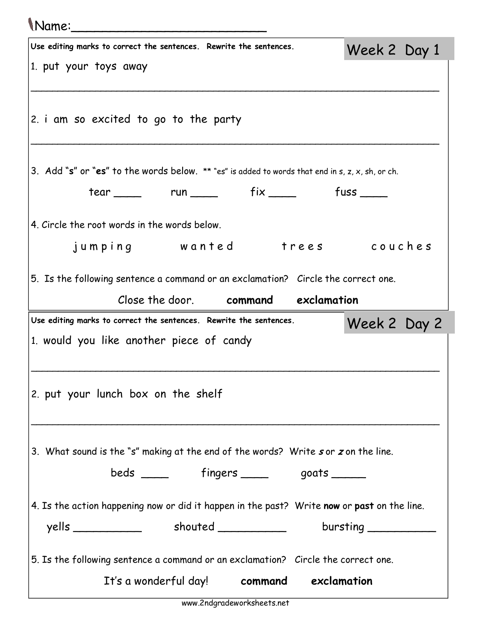## Name:\_\_\_\_\_\_\_\_\_\_\_\_\_\_\_\_\_\_\_\_\_\_\_\_\_

| Use editing marks to correct the sentences. Rewrite the sentences.                                                                | Week 2 Day 1 |
|-----------------------------------------------------------------------------------------------------------------------------------|--------------|
| 1. put your toys away                                                                                                             |              |
|                                                                                                                                   |              |
| 2. i am so excited to go to the party                                                                                             |              |
| 3. Add "s" or "es" to the words below. $**$ "es" is added to words that end in s, z, x, sh, or ch.                                |              |
| tear _____ run _____ fix _____ fuss ____                                                                                          |              |
| 4. Circle the root words in the words below.                                                                                      |              |
| jumping wanted trees couches                                                                                                      |              |
| 5. Is the following sentence a command or an exclamation? Circle the correct one.                                                 |              |
| Close the door. command exclamation                                                                                               |              |
|                                                                                                                                   |              |
| Use editing marks to correct the sentences. Rewrite the sentences.                                                                | Week 2 Day 2 |
| 1. would you like another piece of candy                                                                                          |              |
| 2. put your lunch box on the shelf                                                                                                |              |
| 3. What sound is the "s" making at the end of the words? Write sor zon the line.                                                  |              |
| beds ______ fingers _____ goats ____                                                                                              |              |
| 4. Is the action happening now or did it happen in the past? Write now or past on the line.                                       |              |
|                                                                                                                                   |              |
| 5. Is the following sentence a command or an exclamation? Circle the correct one.<br>It's a wonderful day! command<br>exclamation |              |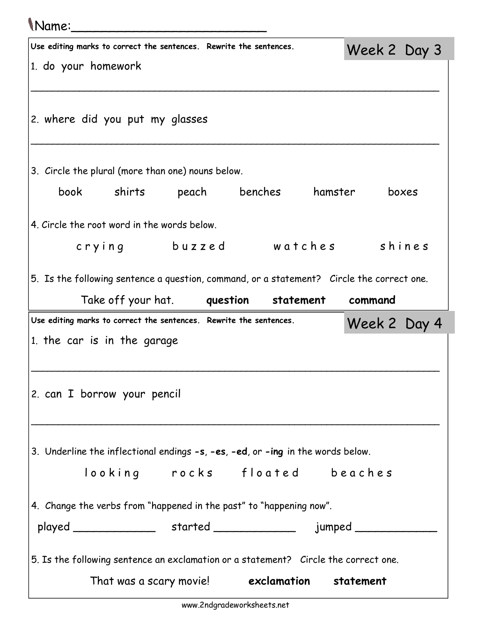## Name:\_\_\_\_\_\_\_\_\_\_\_\_\_\_\_\_\_\_\_\_\_\_\_\_\_

| 1. do your homework                               | Use editing marks to correct the sentences. Rewrite the sentences.                        |  |                                                                    |           | Week 2 Day 3 |  |
|---------------------------------------------------|-------------------------------------------------------------------------------------------|--|--------------------------------------------------------------------|-----------|--------------|--|
|                                                   |                                                                                           |  |                                                                    |           |              |  |
|                                                   |                                                                                           |  |                                                                    |           |              |  |
|                                                   | 2. where did you put my glasses                                                           |  |                                                                    |           |              |  |
| 3. Circle the plural (more than one) nouns below. |                                                                                           |  |                                                                    |           |              |  |
|                                                   | book shirts peach benches hamster                                                         |  |                                                                    |           | boxes        |  |
|                                                   | 4. Circle the root word in the words below.                                               |  |                                                                    |           |              |  |
|                                                   | crying buzzed watches shines                                                              |  |                                                                    |           |              |  |
|                                                   | 5. Is the following sentence a question, command, or a statement? Circle the correct one. |  |                                                                    |           |              |  |
|                                                   | Take off your hat. <b>question</b>                                                        |  |                                                                    | statement | command      |  |
|                                                   |                                                                                           |  |                                                                    |           |              |  |
|                                                   |                                                                                           |  | Use editing marks to correct the sentences. Rewrite the sentences. |           | Week 2 Day 4 |  |
|                                                   | 1. the car is in the garage                                                               |  |                                                                    |           |              |  |
|                                                   |                                                                                           |  |                                                                    |           |              |  |
|                                                   |                                                                                           |  |                                                                    |           |              |  |
|                                                   | 2. can I borrow your pencil                                                               |  |                                                                    |           |              |  |
|                                                   |                                                                                           |  |                                                                    |           |              |  |
|                                                   | 3. Underline the inflectional endings -s, -es, -ed, or -ing in the words below.           |  |                                                                    |           |              |  |
|                                                   | looking rocks floated beaches                                                             |  |                                                                    |           |              |  |
|                                                   |                                                                                           |  |                                                                    |           |              |  |
|                                                   | 4. Change the verbs from "happened in the past" to "happening now".                       |  |                                                                    |           |              |  |
|                                                   |                                                                                           |  |                                                                    |           |              |  |
|                                                   | 5. Is the following sentence an exclamation or a statement? Circle the correct one.       |  |                                                                    |           |              |  |